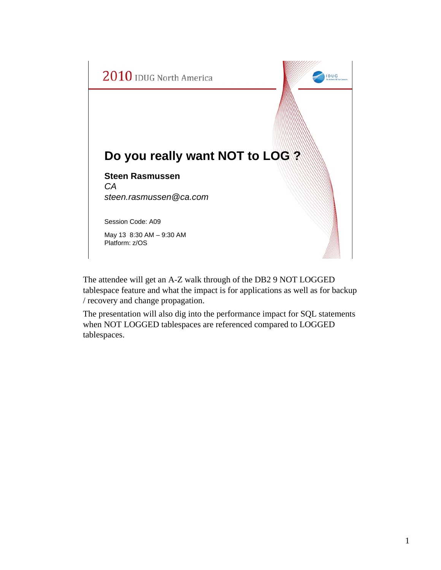

The attendee will get an A-Z walk through of the DB2 9 NOT LOGGED tablespace feature and what the impact is for applications as well as for backup / recovery and change propagation.

The presentation will also dig into the performance impact for SQL statements when NOT LOGGED tablespaces are referenced compared to LOGGED tablespaces.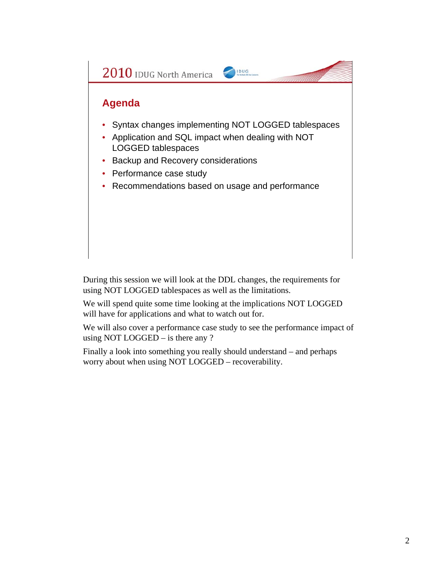

During this session we will look at the DDL changes, the requirements for using NOT LOGGED tablespaces as well as the limitations.

We will spend quite some time looking at the implications NOT LOGGED will have for applications and what to watch out for.

We will also cover a performance case study to see the performance impact of using NOT LOGGED – is there any ?

Finally a look into something you really should understand – and perhaps worry about when using NOT LOGGED – recoverability.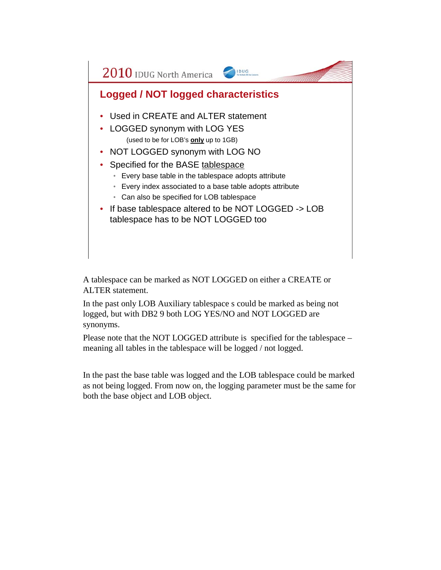

A tablespace can be marked as NOT LOGGED on either a CREATE or ALTER statement.

In the past only LOB Auxiliary tablespace s could be marked as being not logged, but with DB2 9 both LOG YES/NO and NOT LOGGED are synonyms.

Please note that the NOT LOGGED attribute is specified for the tablespace – meaning all tables in the tablespace will be logged / not logged.

In the past the base table was logged and the LOB tablespace could be marked as not being logged. From now on, the logging parameter must be the same for both the base object and LOB object.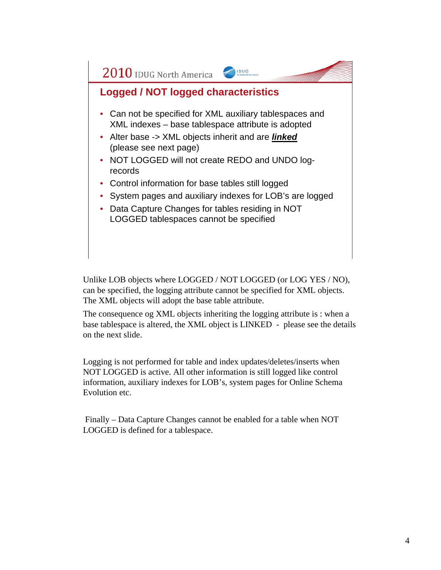

Unlike LOB objects where LOGGED / NOT LOGGED (or LOG YES / NO), can be specified, the logging attribute cannot be specified for XML objects. The XML objects will adopt the base table attribute.

The consequence og XML objects inheriting the logging attribute is : when a base tablespace is altered, the XML object is LINKED - please see the details on the next slide.

Logging is not performed for table and index updates/deletes/inserts when NOT LOGGED is active. All other information is still logged like control information, auxiliary indexes for LOB's, system pages for Online Schema Evolution etc.

Finally – Data Capture Changes cannot be enabled for a table when NOT LOGGED is defined for a tablespace.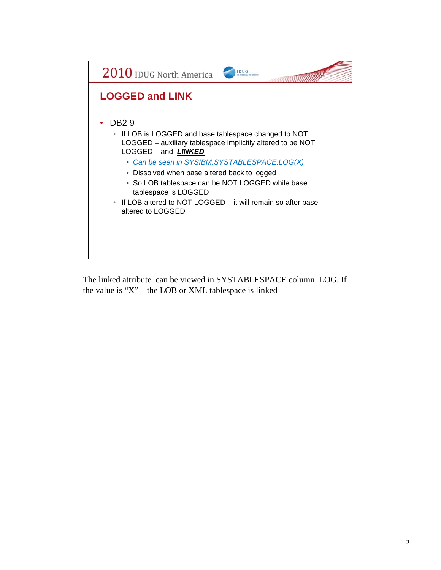

The linked attribute can be viewed in SYSTABLESPACE column LOG. If the value is "X" – the LOB or XML tablespace is linked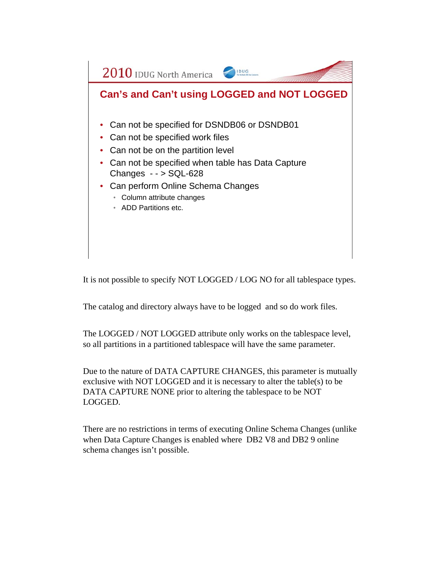

It is not possible to specify NOT LOGGED / LOG NO for all tablespace types.

The catalog and directory always have to be logged and so do work files.

The LOGGED / NOT LOGGED attribute only works on the tablespace level, so all partitions in a partitioned tablespace will have the same parameter.

Due to the nature of DATA CAPTURE CHANGES, this parameter is mutually exclusive with NOT LOGGED and it is necessary to alter the table(s) to be DATA CAPTURE NONE prior to altering the tablespace to be NOT LOGGED.

There are no restrictions in terms of executing Online Schema Changes (unlike when Data Capture Changes is enabled where DB2 V8 and DB2 9 online schema changes isn't possible.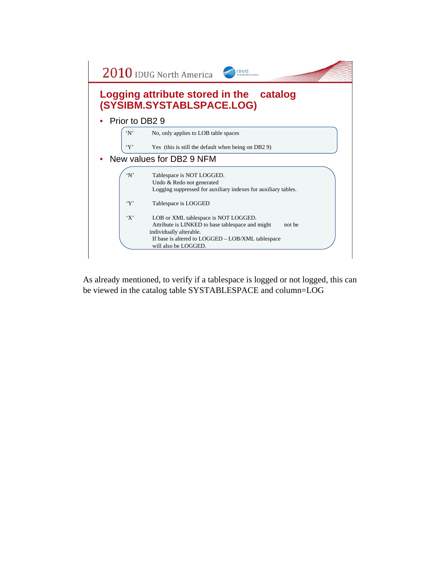

As already mentioned, to verify if a tablespace is logged or not logged, this can be viewed in the catalog table SYSTABLESPACE and column=LOG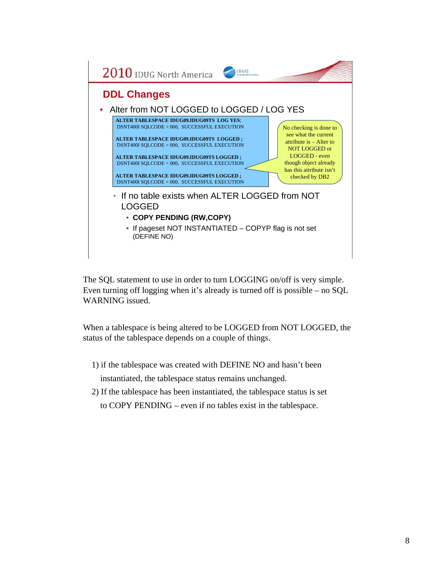

The SQL statement to use in order to turn LOGGING on/off is very simple. Even turning off logging when it's already is turned off is possible – no SQL WARNING issued.

When a tablespace is being altered to be LOGGED from NOT LOGGED, the status of the tablespace depends on a couple of things.

1) if the tablespace was created with DEFINE NO and hasn't been

instantiated, the tablespace status remains unchanged.

2) If the tablespace has been instantiated, the tablespace status is set to COPY PENDING – even if no tables exist in the tablespace.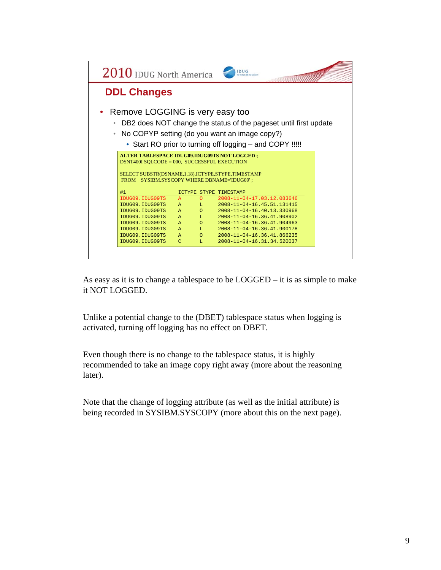| $2010$ IDUG North America                                                                                                                                                                            |               |             | <b>IDUG</b>                                                                                                                                                                     |  |  |  |  |
|------------------------------------------------------------------------------------------------------------------------------------------------------------------------------------------------------|---------------|-------------|---------------------------------------------------------------------------------------------------------------------------------------------------------------------------------|--|--|--|--|
| <b>DDL Changes</b>                                                                                                                                                                                   |               |             |                                                                                                                                                                                 |  |  |  |  |
| Remove LOGGING is very easy too                                                                                                                                                                      |               |             | DB2 does NOT change the status of the pageset until first update<br>• No COPYP setting (do you want an image copy?)<br>• Start RO prior to turning off logging – and COPY !!!!! |  |  |  |  |
| ALTER TABLESPACE IDUG09.IDUG09TS NOT LOGGED;<br>DSNT400I SOLCODE = 000, SUCCESSFUL EXECUTION<br>SELECT SUBSTR(DSNAME, 1, 18), ICTYPE, STYPE, TIMESTAMP<br>FROM SYSIBM.SYSCOPY WHERE DBNAME='IDUG09'; |               |             |                                                                                                                                                                                 |  |  |  |  |
| #1                                                                                                                                                                                                   |               |             | ICTYPE STYPE TIMESTAMP                                                                                                                                                          |  |  |  |  |
| <b>TDUG09. TDUG09TS</b>                                                                                                                                                                              | $\mathbb{A}$  | $\Omega$    | $2008 - 11 - 04 - 17.03.12.083646$                                                                                                                                              |  |  |  |  |
| IDUG09.IDUG09TS                                                                                                                                                                                      | $\mathbb{A}$  | T.          | $2008 - 11 - 04 - 16$ . 45.51.131415                                                                                                                                            |  |  |  |  |
| IDUG09.IDUG09TS                                                                                                                                                                                      | $\mathbb{A}$  | $\Omega$    | 2008-11-04-16.40.13.330968                                                                                                                                                      |  |  |  |  |
| IDUG09.IDUG09TS                                                                                                                                                                                      | $\mathbb{A}$  | T.          | 2008-11-04-16.36.41.908902                                                                                                                                                      |  |  |  |  |
| IDUG09.IDUG09TS                                                                                                                                                                                      | $\mathbb{A}$  | $\Omega$    | 2008-11-04-16.36.41.904963                                                                                                                                                      |  |  |  |  |
| IDUG09.IDUG09TS                                                                                                                                                                                      | $\mathbb{A}$  | $T_{\rm H}$ | 2008-11-04-16.36.41.900178                                                                                                                                                      |  |  |  |  |
| IDUG09.IDUG09TS                                                                                                                                                                                      | $\mathbb{A}$  | $\Omega$    | $2008 - 11 - 04 - 16$ , 36, 41, 866235                                                                                                                                          |  |  |  |  |
| IDUG09.IDUG09TS                                                                                                                                                                                      | $\mathcal{C}$ | T.          | 2008-11-04-16.31.34.520037                                                                                                                                                      |  |  |  |  |
|                                                                                                                                                                                                      |               |             |                                                                                                                                                                                 |  |  |  |  |

As easy as it is to change a tablespace to be LOGGED – it is as simple to make it NOT LOGGED.

Unlike a potential change to the (DBET) tablespace status when logging is activated, turning off logging has no effect on DBET.

Even though there is no change to the tablespace status, it is highly recommended to take an image copy right away (more about the reasoning later).

Note that the change of logging attribute (as well as the initial attribute) is being recorded in SYSIBM.SYSCOPY (more about this on the next page).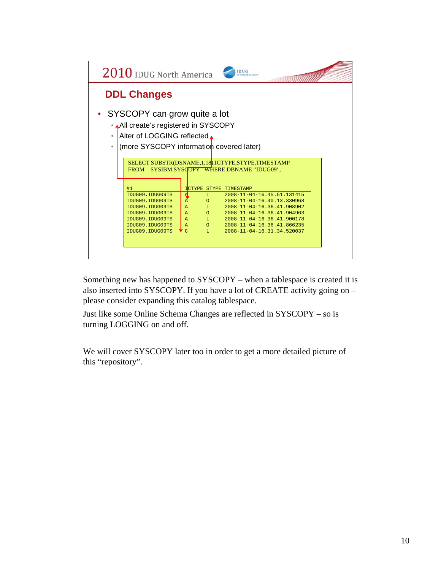

Something new has happened to SYSCOPY – when a tablespace is created it is also inserted into SYSCOPY. If you have a lot of CREATE activity going on – please consider expanding this catalog tablespace.

Just like some Online Schema Changes are reflected in SYSCOPY – so is turning LOGGING on and off.

We will cover SYSCOPY later too in order to get a more detailed picture of this "repository".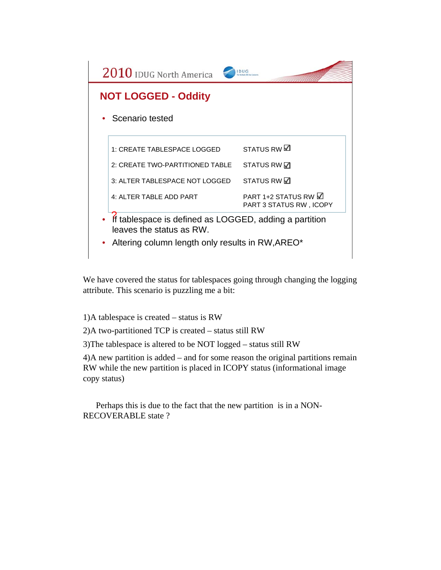

We have covered the status for tablespaces going through changing the logging attribute. This scenario is puzzling me a bit:

1)A tablespace is created – status is RW

2)A two-partitioned TCP is created – status still RW

3)The tablespace is altered to be NOT logged – status still RW

4)A new partition is added – and for some reason the original partitions remain RW while the new partition is placed in ICOPY status (informational image copy status)

Perhaps this is due to the fact that the new partition is in a NON-RECOVERABLE state ?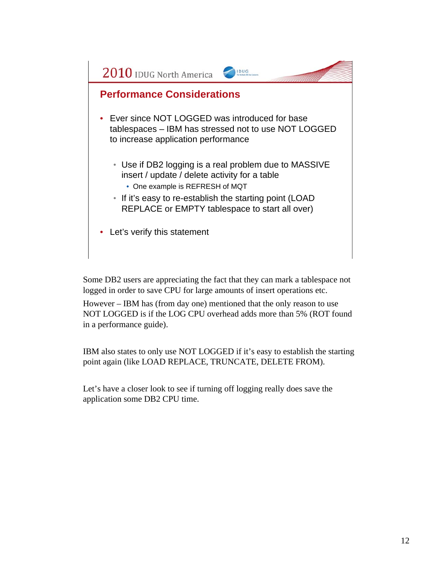

Some DB2 users are appreciating the fact that they can mark a tablespace not logged in order to save CPU for large amounts of insert operations etc.

However – IBM has (from day one) mentioned that the only reason to use NOT LOGGED is if the LOG CPU overhead adds more than 5% (ROT found in a performance guide).

IBM also states to only use NOT LOGGED if it's easy to establish the starting point again (like LOAD REPLACE, TRUNCATE, DELETE FROM).

Let's have a closer look to see if turning off logging really does save the application some DB2 CPU time.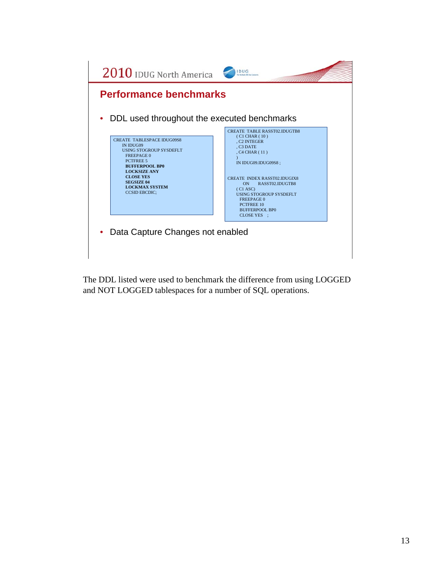

The DDL listed were used to benchmark the difference from using LOGGED and NOT LOGGED tablespaces for a number of SQL operations.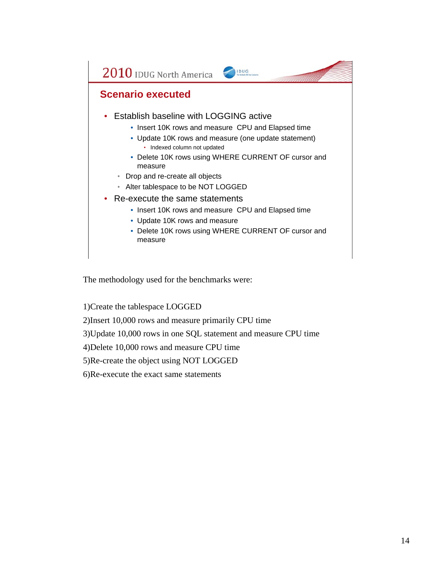

The methodology used for the benchmarks were:

1)Create the tablespace LOGGED

2)Insert 10,000 rows and measure primarily CPU time

3)Update 10,000 rows in one SQL statement and measure CPU time

4)Delete 10,000 rows and measure CPU time

5)Re-create the object using NOT LOGGED

6)Re-execute the exact same statements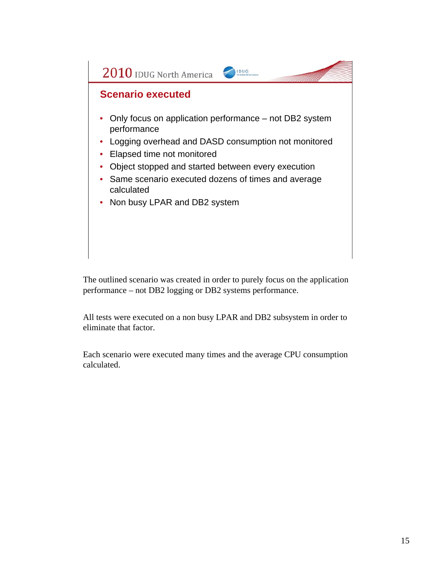

The outlined scenario was created in order to purely focus on the application performance – not DB2 logging or DB2 systems performance.

All tests were executed on a non busy LPAR and DB2 subsystem in order to eliminate that factor.

Each scenario were executed many times and the average CPU consumption calculated.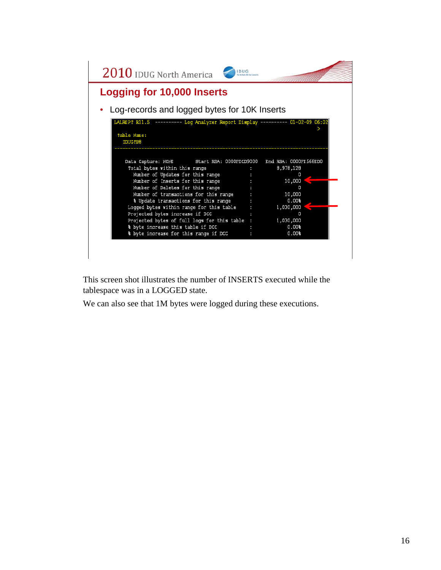

This screen shot illustrates the number of INSERTS executed while the tablespace was in a LOGGED state.

We can also see that 1M bytes were logged during these executions.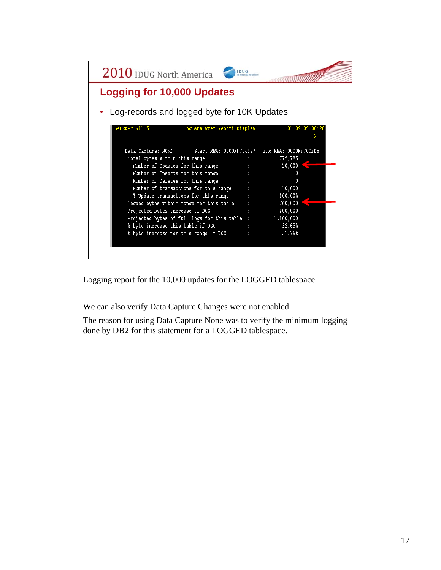| <b>Logging for 10,000 Updates</b><br>Log-records and logged byte for 10K Updates<br>LALRIPT R11.5 --------- Log Analyzer Report Display --------- 01-02-09 06:28<br>Data Capture: NONE Start RBA: 0000FE704427 End RBA: 0000FE7COED8<br>Total bytes within this range<br>772,785<br>Number of Updates for this range<br>10,000<br>Number of Inserts for this range<br>O<br>Number of Deletes for this range<br>O<br>10,000<br>Number of transactions for this range<br>% Update transactions for this range<br>100.00%<br>Logged bytes within range for this table $\cdots$<br>760,000<br>400,000<br>Projected bytes increase if DCC<br>Projected bytes of full logs for this table : 1,160,000<br>% byte increase this table if DCC<br>52.63%<br>% byte increase for this range if DCC<br>51.76% | $2010$ IDUG North America | <b>IDUG</b> |  |
|---------------------------------------------------------------------------------------------------------------------------------------------------------------------------------------------------------------------------------------------------------------------------------------------------------------------------------------------------------------------------------------------------------------------------------------------------------------------------------------------------------------------------------------------------------------------------------------------------------------------------------------------------------------------------------------------------------------------------------------------------------------------------------------------------|---------------------------|-------------|--|
|                                                                                                                                                                                                                                                                                                                                                                                                                                                                                                                                                                                                                                                                                                                                                                                                   |                           |             |  |
|                                                                                                                                                                                                                                                                                                                                                                                                                                                                                                                                                                                                                                                                                                                                                                                                   |                           |             |  |
|                                                                                                                                                                                                                                                                                                                                                                                                                                                                                                                                                                                                                                                                                                                                                                                                   |                           |             |  |
|                                                                                                                                                                                                                                                                                                                                                                                                                                                                                                                                                                                                                                                                                                                                                                                                   |                           |             |  |
|                                                                                                                                                                                                                                                                                                                                                                                                                                                                                                                                                                                                                                                                                                                                                                                                   |                           |             |  |
|                                                                                                                                                                                                                                                                                                                                                                                                                                                                                                                                                                                                                                                                                                                                                                                                   |                           |             |  |
|                                                                                                                                                                                                                                                                                                                                                                                                                                                                                                                                                                                                                                                                                                                                                                                                   |                           |             |  |
|                                                                                                                                                                                                                                                                                                                                                                                                                                                                                                                                                                                                                                                                                                                                                                                                   |                           |             |  |
|                                                                                                                                                                                                                                                                                                                                                                                                                                                                                                                                                                                                                                                                                                                                                                                                   |                           |             |  |
|                                                                                                                                                                                                                                                                                                                                                                                                                                                                                                                                                                                                                                                                                                                                                                                                   |                           |             |  |
|                                                                                                                                                                                                                                                                                                                                                                                                                                                                                                                                                                                                                                                                                                                                                                                                   |                           |             |  |
|                                                                                                                                                                                                                                                                                                                                                                                                                                                                                                                                                                                                                                                                                                                                                                                                   |                           |             |  |
|                                                                                                                                                                                                                                                                                                                                                                                                                                                                                                                                                                                                                                                                                                                                                                                                   |                           |             |  |
|                                                                                                                                                                                                                                                                                                                                                                                                                                                                                                                                                                                                                                                                                                                                                                                                   |                           |             |  |
|                                                                                                                                                                                                                                                                                                                                                                                                                                                                                                                                                                                                                                                                                                                                                                                                   |                           |             |  |

Logging report for the 10,000 updates for the LOGGED tablespace.

We can also verify Data Capture Changes were not enabled.

The reason for using Data Capture None was to verify the minimum logging done by DB2 for this statement for a LOGGED tablespace.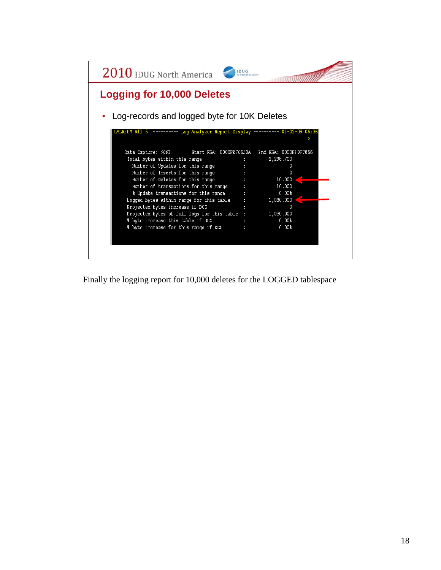

Finally the logging report for 10,000 deletes for the LOGGED tablespace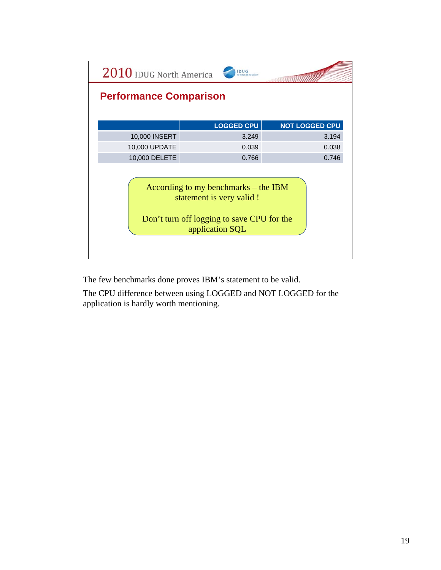| <b>Performance Comparison</b><br><b>LOGGED CPU</b><br>10,000 INSERT<br>3.249<br>10,000 UPDATE<br>0.039<br>10,000 DELETE<br>0.766<br>According to my benchmarks – the IBM |                       |  |  |  |  |
|--------------------------------------------------------------------------------------------------------------------------------------------------------------------------|-----------------------|--|--|--|--|
|                                                                                                                                                                          |                       |  |  |  |  |
|                                                                                                                                                                          |                       |  |  |  |  |
|                                                                                                                                                                          | <b>NOT LOGGED CPU</b> |  |  |  |  |
|                                                                                                                                                                          | 3.194                 |  |  |  |  |
|                                                                                                                                                                          | 0.038                 |  |  |  |  |
|                                                                                                                                                                          | 0.746                 |  |  |  |  |
| statement is very valid !<br>Don't turn off logging to save CPU for the<br>application SQL                                                                               |                       |  |  |  |  |

The few benchmarks done proves IBM's statement to be valid.

The CPU difference between using LOGGED and NOT LOGGED for the application is hardly worth mentioning.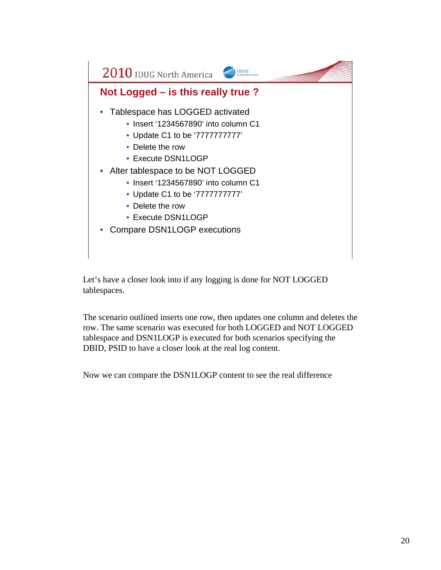

Let's have a closer look into if any logging is done for NOT LOGGED tablespaces.

The scenario outlined inserts one row, then updates one column and deletes the row. The same scenario was executed for both LOGGED and NOT LOGGED tablespace and DSN1LOGP is executed for both scenarios specifying the DBID, PSID to have a closer look at the real log content.

Now we can compare the DSN1LOGP content to see the real difference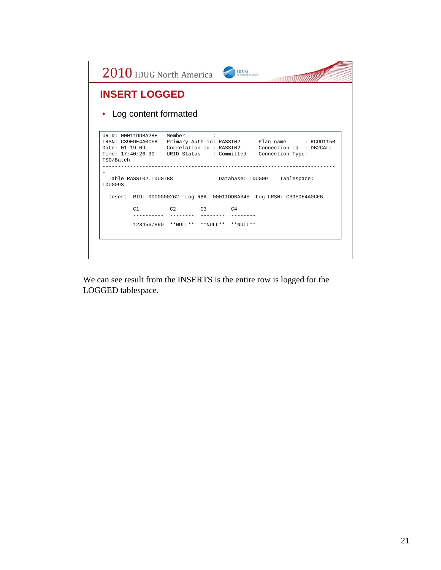|           | <b>INSERT LOGGED</b>    |                |  |                                                                                                                                                                                                         |  |
|-----------|-------------------------|----------------|--|---------------------------------------------------------------------------------------------------------------------------------------------------------------------------------------------------------|--|
|           | • Log content formatted |                |  |                                                                                                                                                                                                         |  |
| TSO/Batch | URID: 00011DDBA2BE      | Member         |  | LRSN: C39EDE4A0CFB Primary Auth-id: RASST02 Plan name : RCUU1150<br>Date: 01-19-09    Correlation-id : RASST02    Connection-id : DB2CALL<br>Time: 17:40:26.30 URID Status : Committed Connection Type: |  |
| TDUG09S   | Table RASST02.IDUGTB8   |                |  | Database: IDUG09 Tablespace:                                                                                                                                                                            |  |
|           |                         |                |  | Insert RID: 0000000262 Log RBA: 00011DDBA34E Log LRSN: C39EDE4A0CFB                                                                                                                                     |  |
|           | C1                      | $C2$ $C3$ $C4$ |  |                                                                                                                                                                                                         |  |
|           |                         |                |  |                                                                                                                                                                                                         |  |

We can see result from the INSERTS is the entire row is logged for the LOGGED tablespace.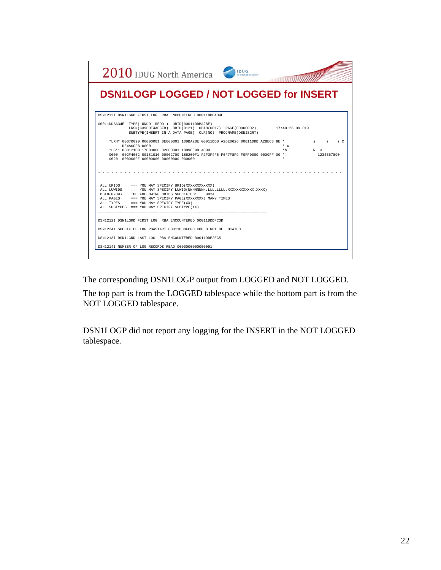| 2010 IDUG North America<br><b>IDUG</b>                                                                                                                                                                                                                                                                                                      |            |                                           |
|---------------------------------------------------------------------------------------------------------------------------------------------------------------------------------------------------------------------------------------------------------------------------------------------------------------------------------------------|------------|-------------------------------------------|
| <b>DSN1LOGP LOGGED / NOT LOGGED for INSERT</b>                                                                                                                                                                                                                                                                                              |            |                                           |
| DSN1212I DSN1LGRD FIRST LOG RBA ENCOUNTERED 00011DDBA34E                                                                                                                                                                                                                                                                                    |            |                                           |
| 00011DDBA34E TYPE(UNDO REDO) URID(00011DDBA2BE)<br>LRSN(C39EDE4A0CFB) DBID(0121) OBID(0017) PAGE(00000002) 17:40:26 09.019<br>SUBTYPE(INSERT IN A DATA PAGE) CLR(NO) PROCNAME(DSNISGRT)                                                                                                                                                     |            |                                           |
| *LRH* 00670090 06000001 0E800001 1DDBA2BE 00011DDB A2BE0626 00011DDB A2BEC3 9E *<br>DE4A0CFB 0000<br>*LG** 88012100 17000000 02000001 1DD9CE9D 4C00<br>0000 002F4062 00181010 00002700 186200F1 F2F3F4F5 F6F7F8F9 F0FF0000 0000FF 00 *                                                                                                      | * ċ<br>*h. | s sC<br>$\mathbb{R}$<br>R <<br>1234567890 |
| ALL URIDS === YOU MAY SPECIFY URID (XXXXXXXXXXXX)<br>ALL LUWIDS === YOU MAY SPECIFY LUWID(NNNNNNNNN.LLLLLLLLLL,XXXXXXXXXXXX,XXXX)<br>DBID(0289) THE FOLLOWING OBIDS SPECIFIED:<br>0024<br>ALL PAGES === YOU MAY SPECIFY PAGE(XXXXXXXX) MANY TIMES<br>ALL TYPES === YOU MAY SPECIFY TYPE(XX)<br>ALL SUBTYPES === YOU MAY SPECIFY SUBTYPE(XX) |            |                                           |
| DSN1212I DSN1LGRD FIRST LOG RBA ENCOUNTERED 00011DDDFC3D                                                                                                                                                                                                                                                                                    |            |                                           |
| DSN1224I SPECIFIED LOG RBASTART 00011DDDFC00 COULD NOT BE LOCATED                                                                                                                                                                                                                                                                           |            |                                           |
| DSN1213I DSN1LGRD LAST LOG RBA ENCOUNTERED 00011DDE2EC5                                                                                                                                                                                                                                                                                     |            |                                           |
| DSN1214I NUMBER OF LOG RECORDS READ 0000000000000091                                                                                                                                                                                                                                                                                        |            |                                           |

The corresponding DSN1LOGP output from LOGGED and NOT LOGGED.

The top part is from the LOGGED tablespace while the bottom part is from the NOT LOGGED tablespace.

DSN1LOGP did not report any logging for the INSERT in the NOT LOGGED tablespace.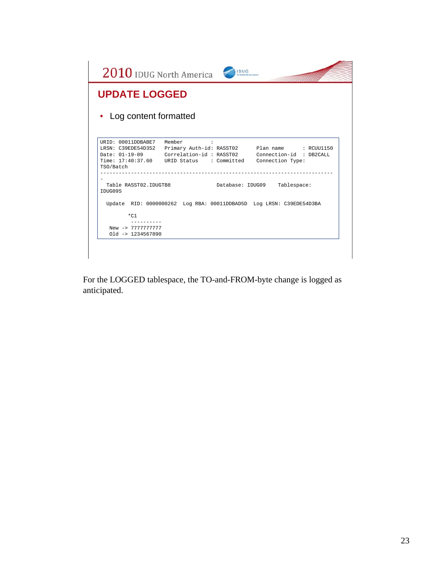| 2010 IDUG North America<br><b>UPDATE LOGGED</b> | <b>IDUG</b>                                                         |                                                                                                                                                       |
|-------------------------------------------------|---------------------------------------------------------------------|-------------------------------------------------------------------------------------------------------------------------------------------------------|
| Log content formatted                           |                                                                     |                                                                                                                                                       |
| URID: 00011DDBABE7 Member<br>TSO/Batch          | $\ddot{\phantom{a}}$<br>Time: 17:40:37.60 URID Status : Committed   | LRSN: C39EDE54D352 Primary Auth-id: RASST02 Plan name : RCUU1150<br>Date: 01-19-09 Correlation-id: RASST02 Connection-id: DB2CALL<br>Connection Type: |
| Table RASST02. IDUGTB8<br>TDUG09S               |                                                                     | Database: IDUG09 Tablespace:                                                                                                                          |
| $*$ C1                                          | Update RID: 0000000262 Log RBA: 00011DDBAD5D Log LRSN: C39EDE54D3BA |                                                                                                                                                       |
| New -> 7777777777<br>$01d - 1234567890$         |                                                                     |                                                                                                                                                       |

For the LOGGED tablespace, the TO-and-FROM-byte change is logged as anticipated.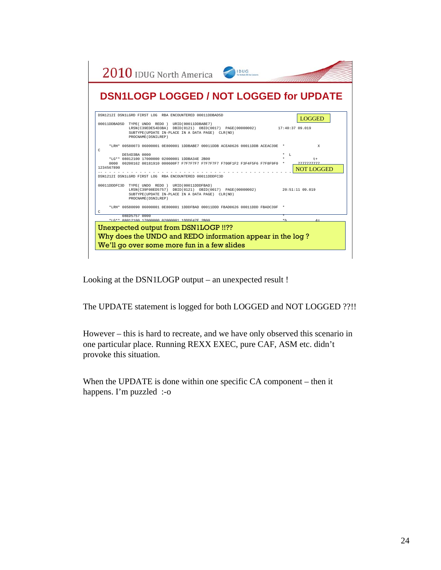

Looking at the DSN1LOGP output – an unexpected result !

The UPDATE statement is logged for both LOGGED and NOT LOGGED ??!!

However – this is hard to recreate, and we have only observed this scenario in one particular place. Running REXX EXEC, pure CAF, ASM etc. didn't provoke this situation.

When the UPDATE is done within one specific CA component – then it happens. I'm puzzled :-o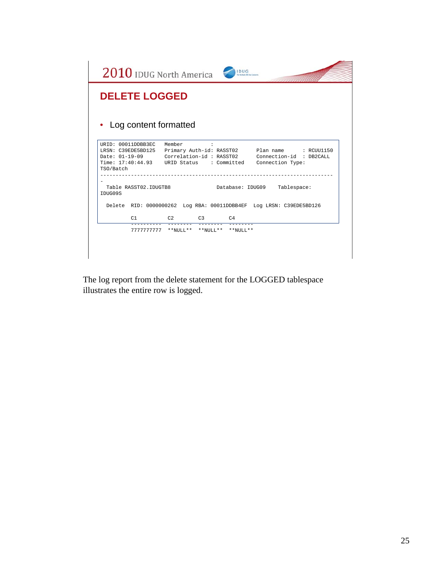|                                        | 2010 IDUG North America<br><b>IDUG</b>                                                                                                                                                          |
|----------------------------------------|-------------------------------------------------------------------------------------------------------------------------------------------------------------------------------------------------|
| <b>DELETE LOGGED</b>                   |                                                                                                                                                                                                 |
| Log content formatted                  |                                                                                                                                                                                                 |
| URID: 00011DDBB3EC Member<br>TSO/Batch | LRSN: C39EDE5BD125 Primary Auth-id: RASST02 Plan name : RCUU1150<br>Date: 01-19-09 Correlation-id: RASST02 Connection-id: DB2CALL<br>Time: 17:40:44.93 URID Status : Committed Connection Type: |
| Table RASST02.IDUGTB8<br>TDUG09S       | Database: IDUG09 Tablespace:<br>Delete RID: 0000000262 Log RBA: 00011DDBB4EF Log LRSN: C39EDE5BD126                                                                                             |
| C1                                     | $C2$ $C3$ $C4$                                                                                                                                                                                  |
|                                        | 7777777777 **NULL** **NULL** **NULL**                                                                                                                                                           |
|                                        |                                                                                                                                                                                                 |

The log report from the delete statement for the LOGGED tablespace illustrates the entire row is logged.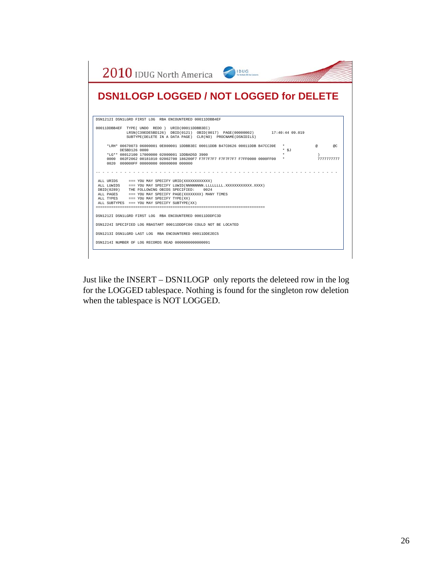| 2010 IDUG North America<br><b>DSN1LOGP LOGGED / NOT LOGGED for DELETE</b>                                                                                                                                                                                                                                                                 |                 |
|-------------------------------------------------------------------------------------------------------------------------------------------------------------------------------------------------------------------------------------------------------------------------------------------------------------------------------------------|-----------------|
| DSN1212I DSN1LGRD FIRST LOG RBA ENCOUNTERED 00011DDBB4EF                                                                                                                                                                                                                                                                                  |                 |
| 00011DDBB4EF TYPE(UNDO REDO) URID(00011DDBB3EC)<br>LRSN(C39EDE5BD126) DBID(0121) OBID(0017) PAGE(00000002) 17:40:44 09.019<br>SUBTYPE (DELETE IN A DATA PAGE) CLR (NO) PROCNAME (DSNIDILS)                                                                                                                                                |                 |
| *LRH* 00670073 06000001 0E800001 1DDBB3EC 00011DDB B47C0626 00011DDB B47CC39E<br>DE5BD126 0000<br>$*$ SJ<br>*LG** 08012100 17000000 02000001 1DDBAD5D 3900<br>0000 002F2062 00181010 02002700 186200F7 F7F7F7F7 F7F7F7F7 F7FF0000 0000FF00<br>0020 000000FF 00000000 00000000 000000                                                      | @C<br>777777777 |
| ALL URIDS === YOU MAY SPECIFY URID(XXXXXXXXXXXX)<br>ALL LUWIDS === YOU MAY SPECIFY LUWID(NNNNNNNNN, LLLLLLLLL, XXXXXXXXXXXX, XXXX)<br>DBID(0289) THE FOLLOWING OBIDS SPECIFIED: 0024<br>ALL PAGES === YOU MAY SPECIFY PAGE(XXXXXXXX) MANY TIMES<br>ALL TYPES === YOU MAY SPECIFY TYPE(XX)<br>ALL SUBTYPES === YOU MAY SPECIFY SUBTYPE(XX) |                 |
| DSN1212I DSN1LGRD FIRST LOG RBA ENCOUNTERED 00011DDDFC3D                                                                                                                                                                                                                                                                                  |                 |
| DSN1224I SPECIFIED LOG RBASTART 00011DDDFC00 COULD NOT BE LOCATED<br>DSN1213I DSN1LGRD LAST LOG RBA ENCOUNTERED 00011DDE2EC5<br>DSN1214I NUMBER OF LOG RECORDS READ 0000000000000091                                                                                                                                                      |                 |

Just like the INSERT – DSN1LOGP only reports the deleteed row in the log for the LOGGED tablespace. Nothing is found for the singleton row deletion when the tablespace is NOT LOGGED.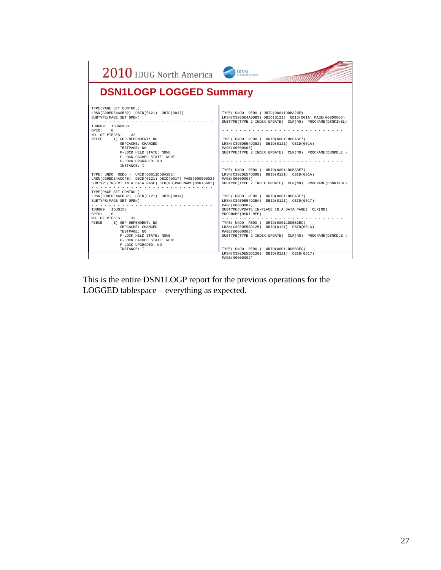| 2010 IDUG North America                                                                                                                                                                                                                                                                                                                                                                                                                                                                                    | <b>IDUG</b><br>The Westback DIP Due Commer                                                                                                                                                                                                                                                                                                                                                                                                                                                        |
|------------------------------------------------------------------------------------------------------------------------------------------------------------------------------------------------------------------------------------------------------------------------------------------------------------------------------------------------------------------------------------------------------------------------------------------------------------------------------------------------------------|---------------------------------------------------------------------------------------------------------------------------------------------------------------------------------------------------------------------------------------------------------------------------------------------------------------------------------------------------------------------------------------------------------------------------------------------------------------------------------------------------|
| <b>DSN1LOGP LOGGED Summary</b>                                                                                                                                                                                                                                                                                                                                                                                                                                                                             |                                                                                                                                                                                                                                                                                                                                                                                                                                                                                                   |
| TYPE (PAGE SET CONTROL)<br>LRSN(C39EDE4A0B02) DBID(0121) OBID(0017)<br>SUBTYPE (PAGE SET OPEN)<br>.<br>IDUG09 .IDUG09S8<br><b>RPTD:</b><br>$\Omega$<br>NO. OF PIECES: 32<br>PIECE 1) GBP-DEPENDENT: NO<br>GBPCACHE: CHANGED<br>TESTPAGE: NO<br>P-LOCK HELD STATE: NONE<br>P-LOCK CACHED STATE: NONE<br>P-LOCK UPGRADED: NO<br>INSTANCE: I<br>TYPE(UNDO REDO) URID(00011DDBA2BE)<br>LRSN(C39EDE4A0CFB) DBID(0121) OBID(0017) PAGE(00000002)<br>SUBTYPE (INSERT IN A DATA PAGE) CLR (NO) PROCNAME (DSNISGRT) | TYPE( UNDO REDO ) URID(00011DDBA2BE)<br>LRSN(C39EDE4A0DB3) DBID(0121) OBID(001A) PAGE(00000003)<br>SUBTYPE (TYPE 2 INDEX UPDATE) CLR (NO) PROCNAME (DSNKINSL)<br>TYPE(UNDO REDO) URID(00011DDBABE7)<br>LRSN(C39EDE54D352) DBID(0121) OBID(001A)<br>PAGE (00000003)<br>SUBTYPE(TYPE 2 INDEX UPDATE) CLR(NO) PROCNAME(DSNKDLE)<br>TYPE (UNDO REDO) URID (00011DDBABE7)<br>LRSN(C39EDE54D398) DBID(0121) OBID(001A)<br>PAGE (00000003)<br>SUBTYPE (TYPE 2 INDEX UPDATE) CLR (NO) PROCNAME (DSNKINSL) |
| TYPE (PAGE SET CONTROL)<br>LRSN(C39EDE4A0DB2) DBID(0121) OBID(001A)<br>SUBTYPE (PAGE SET OPEN)<br>TDUG09 . TDUGTX8<br>BPTD:<br>$\sim$<br>NO. OF PIECES: 32<br>PTECE<br>1) GBP-DEPENDENT: NO<br>GBPCACHE: CHANGED<br>TESTPAGE: NO<br>P-LOCK HELD STATE: NONE<br>P-LOCK CACHED STATE: NONE<br>P-LOCK UPGRADED: NO<br><b>TNSTANCE: T</b>                                                                                                                                                                      | TYPE(UNDO REDO) URID(00011DDBABE7)<br>LRSN(C39EDE54D3BA) DBID(0121) OBID(0017)<br>PAGE (00000002)<br>SUBTYPE (UPDATE IN-PLACE IN A DATA PAGE) CLR (NO)<br>PROCNAME (DSNILREP)<br>TYPE ( UNDO REDO ) URID (00011DDBB3EC)<br>LRSN(C39EDE5BD125) DBID(0121) OBID(001A)<br>PAGE (00000003)<br>SUBTYPE (TYPE 2 INDEX UPDATE) CLR (NO) PROCNAME (DSNKDLE)<br>TYPE(UNDO REDO) URID(00011DDBB3EC)<br>LRSN(C39EDE5BD126) DBID(0121) OBID(0017)                                                             |

This is the entire DSN1LOGP report for the previous operations for the LOGGED tablespace – everything as expected.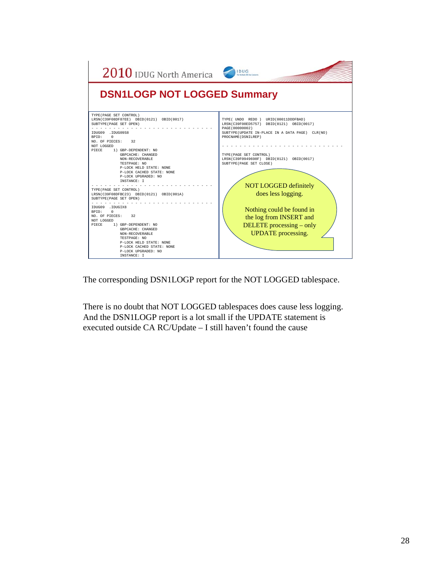

The corresponding DSN1LOGP report for the NOT LOGGED tablespace.

There is no doubt that NOT LOGGED tablespaces does cause less logging. And the DSN1LOGP report is a lot small if the UPDATE statement is executed outside CA RC/Update – I still haven't found the cause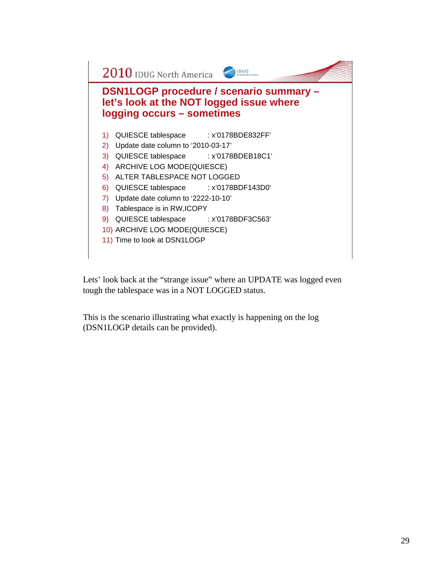

Lets' look back at the "strange issue" where an UPDATE was logged even tough the tablespace was in a NOT LOGGED status.

This is the scenario illustrating what exactly is happening on the log (DSN1LOGP details can be provided).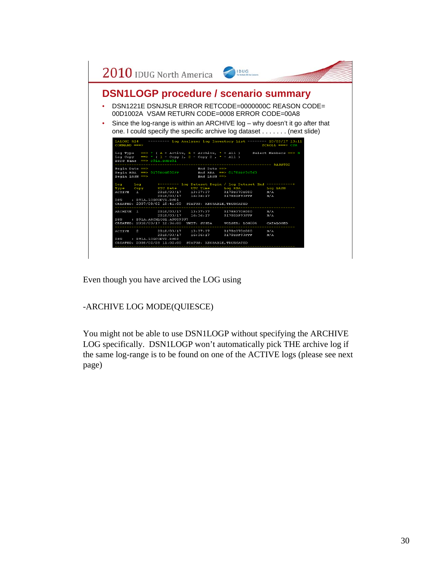

Even though you have arcived the LOG using

## -ARCHIVE LOG MODE(QUIESCE)

You might not be able to use DSN1LOGP without specifying the ARCHIVE LOG specifically. DSN1LOGP won't automatically pick THE archive log if the same log-range is to be found on one of the ACTIVE logs (please see next page)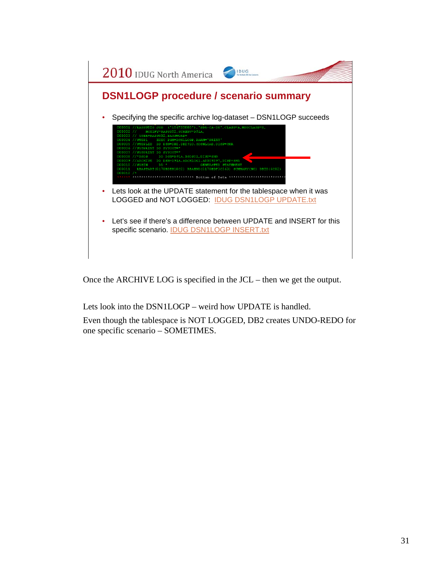

Once the ARCHIVE LOG is specified in the JCL – then we get the output.

Lets look into the DSN1LOGP – weird how UPDATE is handled.

Even though the tablespace is NOT LOGGED, DB2 creates UNDO-REDO for one specific scenario – SOMETIMES.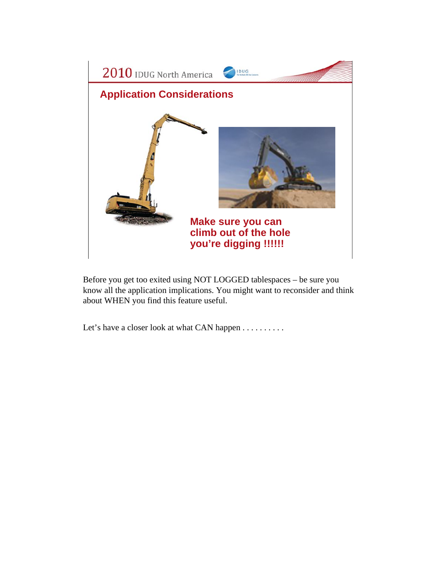

Before you get too exited using NOT LOGGED tablespaces – be sure you know all the application implications. You might want to reconsider and think about WHEN you find this feature useful.

Let's have a closer look at what CAN happen . . . . . . . . . .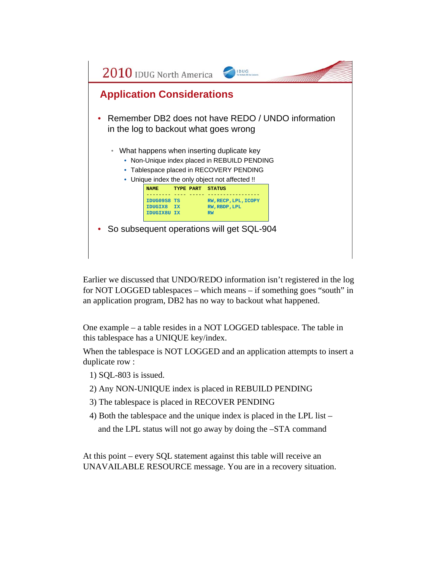

Earlier we discussed that UNDO/REDO information isn't registered in the log for NOT LOGGED tablespaces – which means – if something goes "south" in an application program, DB2 has no way to backout what happened.

One example – a table resides in a NOT LOGGED tablespace. The table in this tablespace has a UNIQUE key/index.

When the tablespace is NOT LOGGED and an application attempts to insert a duplicate row :

- 1) SQL-803 is issued.
- 2) Any NON-UNIQUE index is placed in REBUILD PENDING
- 3) The tablespace is placed in RECOVER PENDING
- 4) Both the tablespace and the unique index is placed in the LPL list –

and the LPL status will not go away by doing the –STA command

At this point – every SQL statement against this table will receive an UNAVAILABLE RESOURCE message. You are in a recovery situation.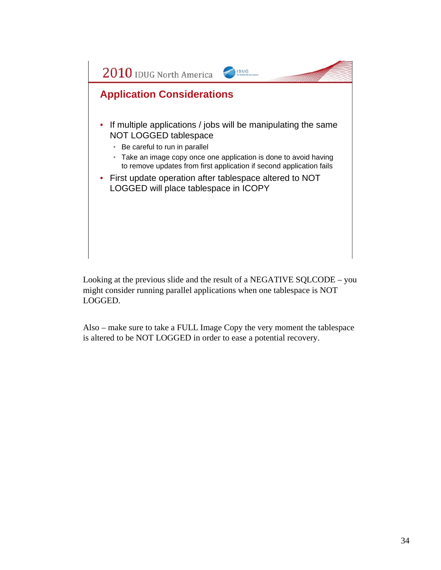

Looking at the previous slide and the result of a NEGATIVE SQLCODE – you might consider running parallel applications when one tablespace is NOT LOGGED.

Also – make sure to take a FULL Image Copy the very moment the tablespace is altered to be NOT LOGGED in order to ease a potential recovery.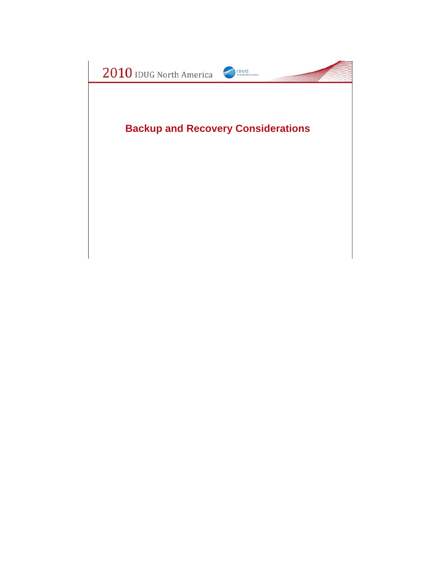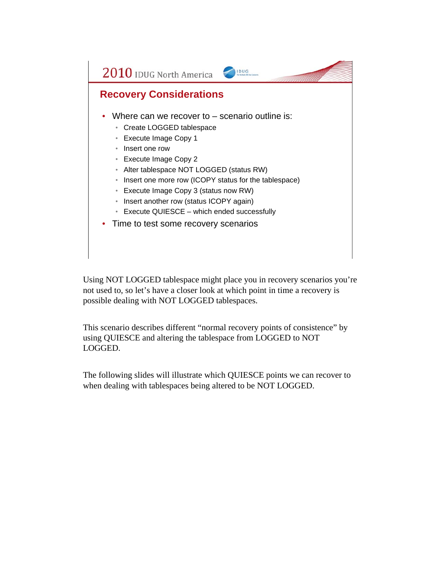

Using NOT LOGGED tablespace might place you in recovery scenarios you're not used to, so let's have a closer look at which point in time a recovery is possible dealing with NOT LOGGED tablespaces.

This scenario describes different "normal recovery points of consistence" by using QUIESCE and altering the tablespace from LOGGED to NOT LOGGED.

The following slides will illustrate which QUIESCE points we can recover to when dealing with tablespaces being altered to be NOT LOGGED.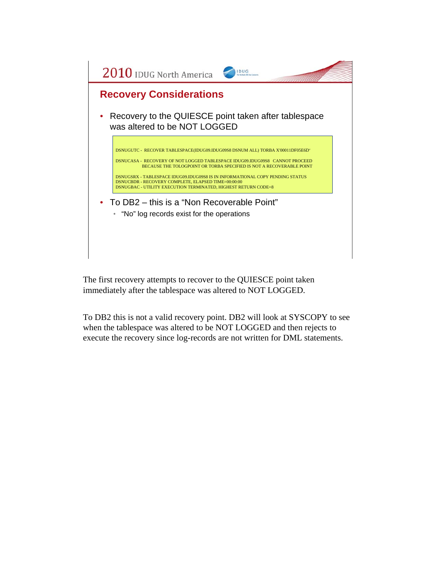

The first recovery attempts to recover to the QUIESCE point taken immediately after the tablespace was altered to NOT LOGGED.

To DB2 this is not a valid recovery point. DB2 will look at SYSCOPY to see when the tablespace was altered to be NOT LOGGED and then rejects to execute the recovery since log-records are not written for DML statements.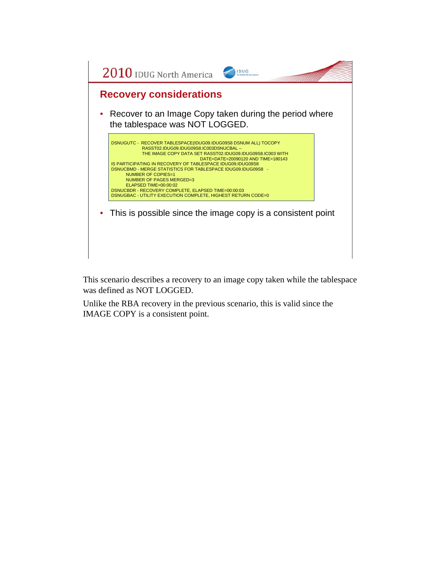

This scenario describes a recovery to an image copy taken while the tablespace was defined as NOT LOGGED.

Unlike the RBA recovery in the previous scenario, this is valid since the IMAGE COPY is a consistent point.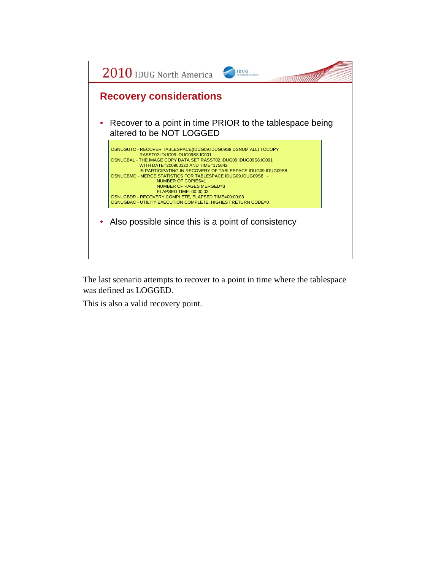

The last scenario attempts to recover to a point in time where the tablespace was defined as LOGGED.

This is also a valid recovery point.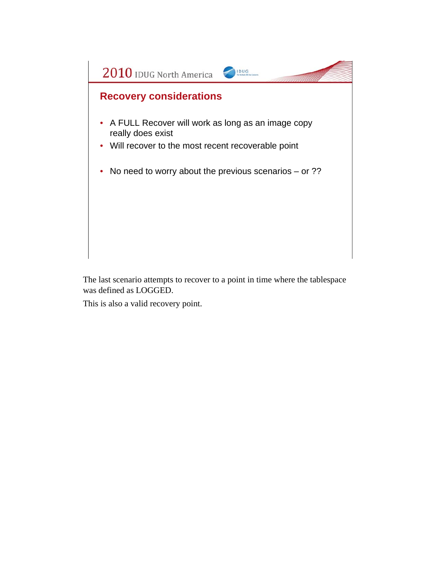

The last scenario attempts to recover to a point in time where the tablespace was defined as LOGGED.

This is also a valid recovery point.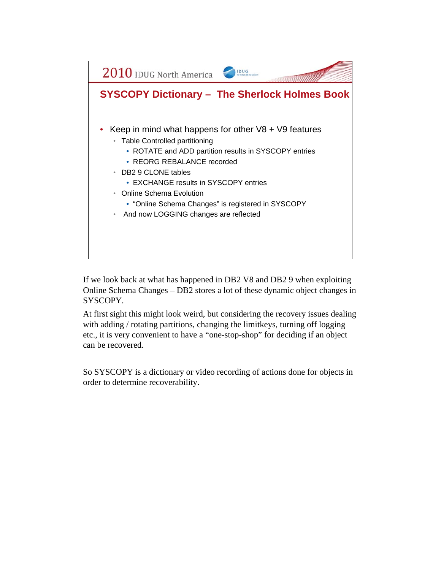

If we look back at what has happened in DB2 V8 and DB2 9 when exploiting Online Schema Changes – DB2 stores a lot of these dynamic object changes in SYSCOPY.

At first sight this might look weird, but considering the recovery issues dealing with adding / rotating partitions, changing the limitkeys, turning off logging etc., it is very convenient to have a "one-stop-shop" for deciding if an object can be recovered.

So SYSCOPY is a dictionary or video recording of actions done for objects in order to determine recoverability.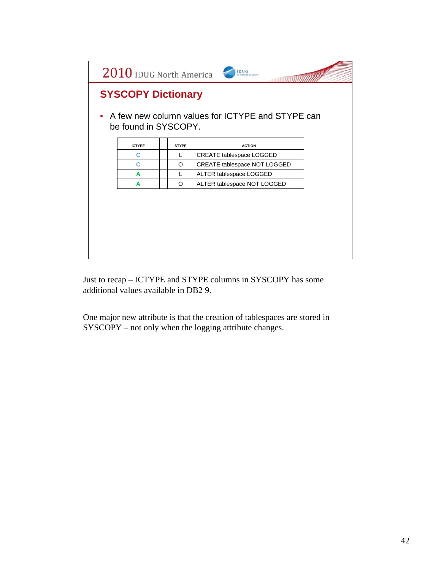

Just to recap – ICTYPE and STYPE columns in SYSCOPY has some additional values available in DB2 9.

One major new attribute is that the creation of tablespaces are stored in SYSCOPY – not only when the logging attribute changes.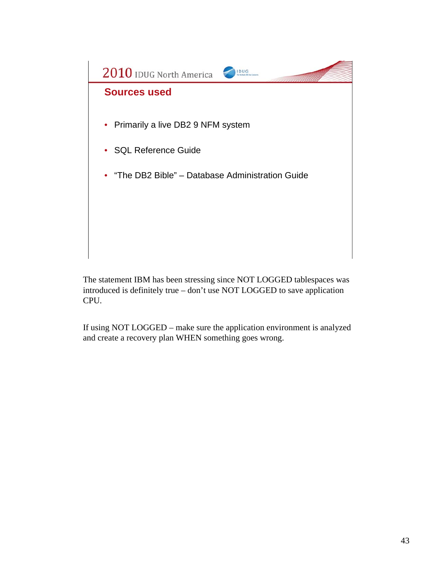

The statement IBM has been stressing since NOT LOGGED tablespaces was introduced is definitely true – don't use NOT LOGGED to save application CPU.

If using NOT LOGGED – make sure the application environment is analyzed and create a recovery plan WHEN something goes wrong.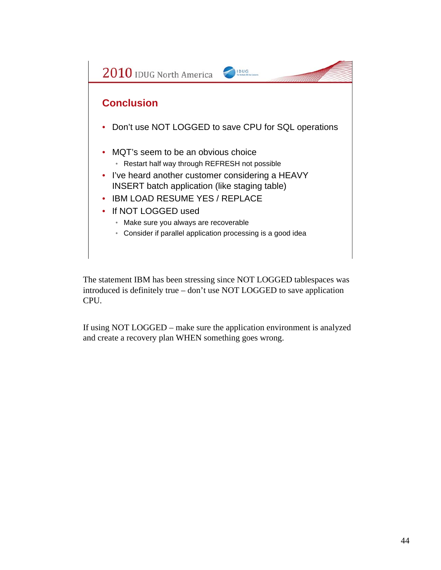

The statement IBM has been stressing since NOT LOGGED tablespaces was introduced is definitely true – don't use NOT LOGGED to save application CPU.

If using NOT LOGGED – make sure the application environment is analyzed and create a recovery plan WHEN something goes wrong.